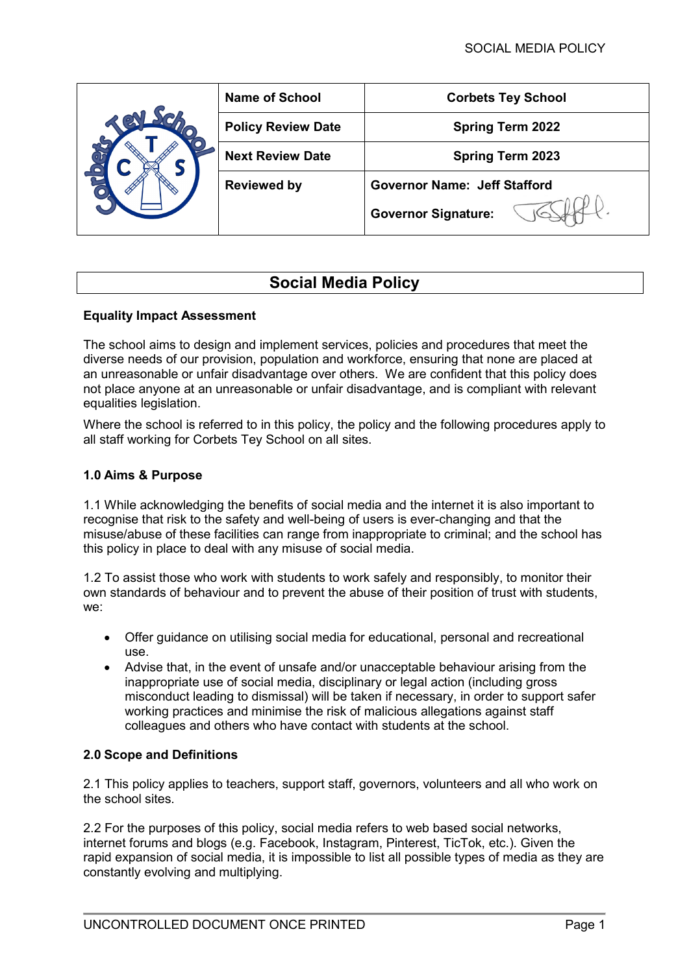|  | <b>Name of School</b>     | <b>Corbets Tey School</b>           |
|--|---------------------------|-------------------------------------|
|  | <b>Policy Review Date</b> | <b>Spring Term 2022</b>             |
|  | <b>Next Review Date</b>   | <b>Spring Term 2023</b>             |
|  | <b>Reviewed by</b>        | <b>Governor Name: Jeff Stafford</b> |
|  |                           | <b>Governor Signature:</b>          |

# **Social Media Policy**

# **Equality Impact Assessment**

The school aims to design and implement services, policies and procedures that meet the diverse needs of our provision, population and workforce, ensuring that none are placed at an unreasonable or unfair disadvantage over others. We are confident that this policy does not place anyone at an unreasonable or unfair disadvantage, and is compliant with relevant equalities legislation.

Where the school is referred to in this policy, the policy and the following procedures apply to all staff working for Corbets Tey School on all sites.

# **1.0 Aims & Purpose**

1.1 While acknowledging the benefits of social media and the internet it is also important to recognise that risk to the safety and well-being of users is ever-changing and that the misuse/abuse of these facilities can range from inappropriate to criminal; and the school has this policy in place to deal with any misuse of social media.

1.2 To assist those who work with students to work safely and responsibly, to monitor their own standards of behaviour and to prevent the abuse of their position of trust with students, we:

- Offer guidance on utilising social media for educational, personal and recreational use.
- Advise that, in the event of unsafe and/or unacceptable behaviour arising from the inappropriate use of social media, disciplinary or legal action (including gross misconduct leading to dismissal) will be taken if necessary, in order to support safer working practices and minimise the risk of malicious allegations against staff colleagues and others who have contact with students at the school.

# **2.0 Scope and Definitions**

2.1 This policy applies to teachers, support staff, governors, volunteers and all who work on the school sites.

2.2 For the purposes of this policy, social media refers to web based social networks, internet forums and blogs (e.g. Facebook, Instagram, Pinterest, TicTok, etc.). Given the rapid expansion of social media, it is impossible to list all possible types of media as they are constantly evolving and multiplying.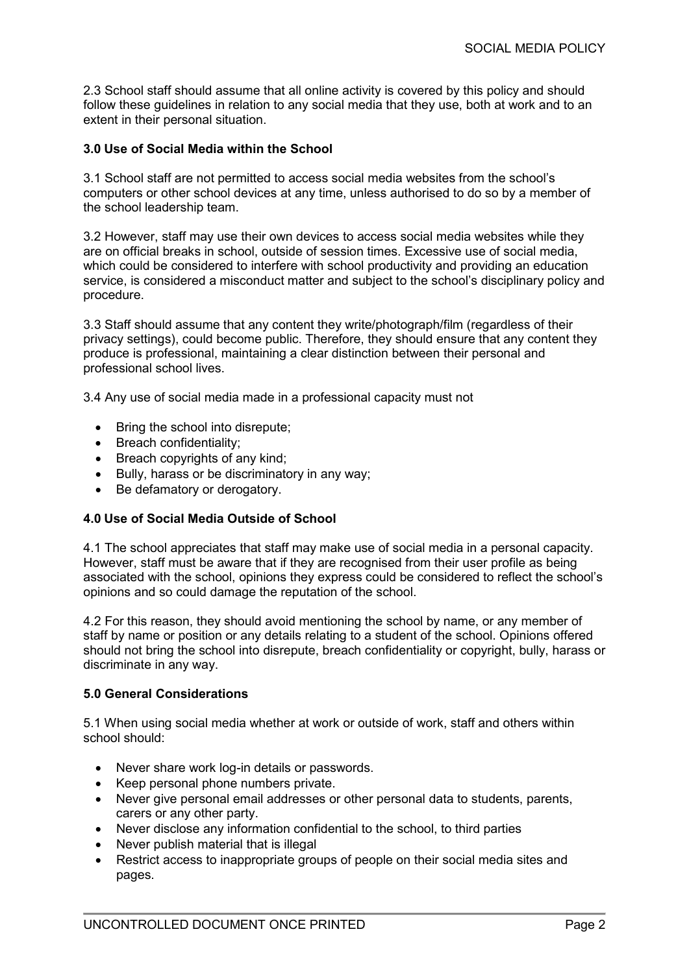2.3 School staff should assume that all online activity is covered by this policy and should follow these guidelines in relation to any social media that they use, both at work and to an extent in their personal situation.

# **3.0 Use of Social Media within the School**

3.1 School staff are not permitted to access social media websites from the school's computers or other school devices at any time, unless authorised to do so by a member of the school leadership team.

3.2 However, staff may use their own devices to access social media websites while they are on official breaks in school, outside of session times. Excessive use of social media, which could be considered to interfere with school productivity and providing an education service, is considered a misconduct matter and subject to the school's disciplinary policy and procedure.

3.3 Staff should assume that any content they write/photograph/film (regardless of their privacy settings), could become public. Therefore, they should ensure that any content they produce is professional, maintaining a clear distinction between their personal and professional school lives.

3.4 Any use of social media made in a professional capacity must not

- Bring the school into disrepute;
- Breach confidentiality:
- Breach copyrights of any kind;
- Bully, harass or be discriminatory in any way;
- Be defamatory or derogatory.

# **4.0 Use of Social Media Outside of School**

4.1 The school appreciates that staff may make use of social media in a personal capacity. However, staff must be aware that if they are recognised from their user profile as being associated with the school, opinions they express could be considered to reflect the school's opinions and so could damage the reputation of the school.

4.2 For this reason, they should avoid mentioning the school by name, or any member of staff by name or position or any details relating to a student of the school. Opinions offered should not bring the school into disrepute, breach confidentiality or copyright, bully, harass or discriminate in any way.

#### **5.0 General Considerations**

5.1 When using social media whether at work or outside of work, staff and others within school should:

- Never share work log-in details or passwords.
- Keep personal phone numbers private.
- Never give personal email addresses or other personal data to students, parents, carers or any other party.
- Never disclose any information confidential to the school, to third parties
- Never publish material that is illegal
- Restrict access to inappropriate groups of people on their social media sites and pages.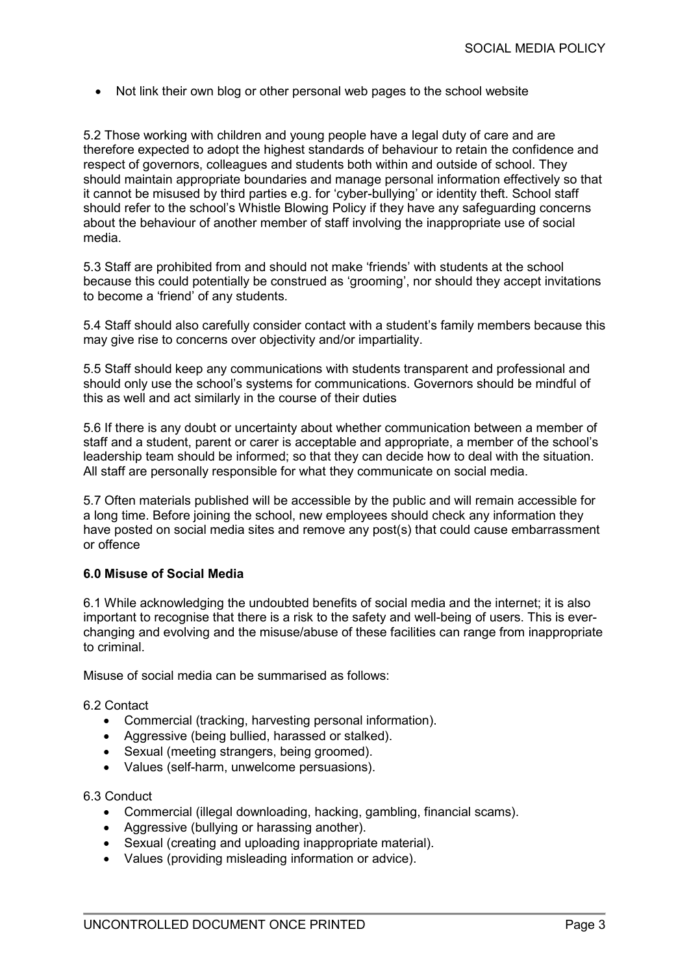• Not link their own blog or other personal web pages to the school website

5.2 Those working with children and young people have a legal duty of care and are therefore expected to adopt the highest standards of behaviour to retain the confidence and respect of governors, colleagues and students both within and outside of school. They should maintain appropriate boundaries and manage personal information effectively so that it cannot be misused by third parties e.g. for 'cyber-bullying' or identity theft. School staff should refer to the school's Whistle Blowing Policy if they have any safeguarding concerns about the behaviour of another member of staff involving the inappropriate use of social media.

5.3 Staff are prohibited from and should not make 'friends' with students at the school because this could potentially be construed as 'grooming', nor should they accept invitations to become a 'friend' of any students.

5.4 Staff should also carefully consider contact with a student's family members because this may give rise to concerns over objectivity and/or impartiality.

5.5 Staff should keep any communications with students transparent and professional and should only use the school's systems for communications. Governors should be mindful of this as well and act similarly in the course of their duties

5.6 If there is any doubt or uncertainty about whether communication between a member of staff and a student, parent or carer is acceptable and appropriate, a member of the school's leadership team should be informed; so that they can decide how to deal with the situation. All staff are personally responsible for what they communicate on social media.

5.7 Often materials published will be accessible by the public and will remain accessible for a long time. Before joining the school, new employees should check any information they have posted on social media sites and remove any post(s) that could cause embarrassment or offence

#### **6.0 Misuse of Social Media**

6.1 While acknowledging the undoubted benefits of social media and the internet; it is also important to recognise that there is a risk to the safety and well-being of users. This is everchanging and evolving and the misuse/abuse of these facilities can range from inappropriate to criminal.

Misuse of social media can be summarised as follows:

#### 6.2 Contact

- Commercial (tracking, harvesting personal information).
- Aggressive (being bullied, harassed or stalked).
- Sexual (meeting strangers, being groomed).
- Values (self-harm, unwelcome persuasions).

#### 6.3 Conduct

- Commercial (illegal downloading, hacking, gambling, financial scams).
- Aggressive (bullying or harassing another).
- Sexual (creating and uploading inappropriate material).
- Values (providing misleading information or advice).